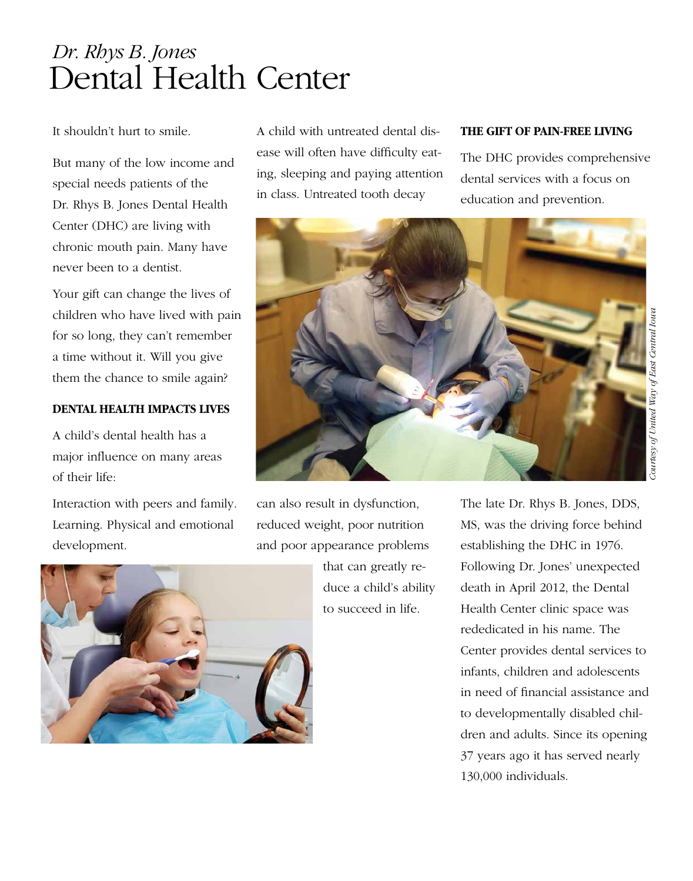# Dental Health Center *Dr. Rhys B. Jones*

It shouldn't hurt to smile.

But many of the low income and special needs patients of the Dr. Rhys B. Jones Dental Health Center (DHC) are living with chronic mouth pain. Many have never been to a dentist.

Your gift can change the lives of children who have lived with pain for so long, they can't remember a time without it. Will you give them the chance to smile again?

#### **Dental health impacts lives**

A child's dental health has a major influence on many areas of their life:

Interaction with peers and family. Learning. Physical and emotional development.

A child with untreated dental disease will often have difficulty eating, sleeping and paying attention in class. Untreated tooth decay

### **The gift of pain-free living**

The DHC provides comprehensive dental services with a focus on education and prevention.



can also result in dysfunction, reduced weight, poor nutrition and poor appearance problems

that can greatly reduce a child's ability to succeed in life.

The late Dr. Rhys B. Jones, DDS, MS, was the driving force behind establishing the DHC in 1976. Following Dr. Jones' unexpected death in April 2012, the Dental Health Center clinic space was rededicated in his name. The Center provides dental services to infants, children and adolescents in need of financial assistance and to developmentally disabled children and adults. Since its opening 37 years ago it has served nearly 130,000 individuals.